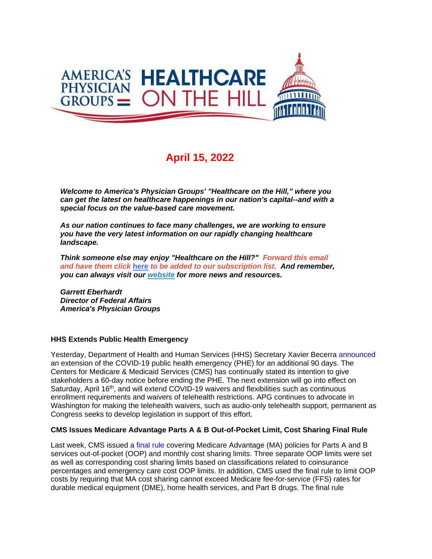

# **April 15, 2022**

*Welcome to America's Physician Groups' "Healthcare on the Hill," where you can get the latest on healthcare happenings in our nation's capital--and with a special focus on the value-based care movement.*

*As our nation continues to face many challenges, we are working to ensure you have the very latest information on our rapidly changing healthcare landscape.*

*Think someone else may enjoy "Healthcare on the Hill?" Forward this email and have them click* **[here](http://link.apg.org/c/7/eyJhaSI6Njk4MDUxNDQsImUiOiJncGhpbGxpcHNAYXBnLm9yZyIsInJpIjoiY29udGFjdC03YWMxOTAzZjFkYzVlYTExYTgxMjAwMGQzYTVhMTdlMy1hZmJkZWE1NjhjNWE0NzgwOTg5YWE4ZjVlNzBmMTA0YSIsInJxIjoiMDItYjIyMTA1LTNhN2M4MDEwNGJkODQ5NmZiZDZhYzY5YzBlYzkyZWQ2IiwicGgiOm51bGwsIm0iOmZhbHNlLCJ1aSI6IjAiLCJ1biI6IiIsInUiOiJodHRwOi8vd2ViLmFwZy5vcmcvY24vYWVkbHcvc3Vic2NyaWJlP19jbGRlZT1qSzk1YnZjRDNOeTRmVDQ0OTJGaFY4dWVETWtXcERMSTBJekFhdWhtLUE1clljYzhnaWZmY2doVWJFODZubGh1JnJlY2lwaWVudGlkPWNvbnRhY3QtN2FjMTkwM2YxZGM1ZWExMWE4MTIwMDBkM2E1YTE3ZTMtYWZiZGVhNTY4YzVhNDc4MDk4OWFhOGY1ZTcwZjEwNGEmZXNpZD03MjM1MzQ2MS0yM2JjLWVjMTEtOTgzZi02MDQ1YmQwMGJiZDAifQ/U10fYKDSNVlQAc_MwI8XLA)** *to be added to our subscription list. And remember, you can always visit our [website](http://link.apg.org/c/7/eyJhaSI6Njk4MDUxNDQsImUiOiJncGhpbGxpcHNAYXBnLm9yZyIsInJpIjoiY29udGFjdC03YWMxOTAzZjFkYzVlYTExYTgxMjAwMGQzYTVhMTdlMy1hZmJkZWE1NjhjNWE0NzgwOTg5YWE4ZjVlNzBmMTA0YSIsInJxIjoiMDItYjIyMTA1LTNhN2M4MDEwNGJkODQ5NmZiZDZhYzY5YzBlYzkyZWQ2IiwicGgiOm51bGwsIm0iOmZhbHNlLCJ1aSI6IjEiLCJ1biI6IiIsInUiOiJodHRwOi8vd3d3LmFwZy5vcmc_X2NsZGVlPWpLOTVidmNEM055NGZUNDQ5MkZoVjh1ZURNa1dwRExJMEl6QWF1aG0tQTVyWWNjOGdpZmZjZ2hVYkU4Nm5saHUmcmVjaXBpZW50aWQ9Y29udGFjdC03YWMxOTAzZjFkYzVlYTExYTgxMjAwMGQzYTVhMTdlMy1hZmJkZWE1NjhjNWE0NzgwOTg5YWE4ZjVlNzBmMTA0YSZlc2lkPTcyMzUzNDYxLTIzYmMtZWMxMS05ODNmLTYwNDViZDAwYmJkMCJ9/iOZWCKxzzooRbxQabO1IXA) for more news and resources.* 

*Garrett Eberhardt Director of Federal Affairs America's Physician Groups*

### **HHS Extends Public Health Emergency**

Yesterday, Department of Health and Human Services (HHS) Secretary Xavier Becerra [announced](http://link.apg.org/c/7/eyJhaSI6Njk4MDUxNDQsImUiOiJncGhpbGxpcHNAYXBnLm9yZyIsInJpIjoiY29udGFjdC03YWMxOTAzZjFkYzVlYTExYTgxMjAwMGQzYTVhMTdlMy1hZmJkZWE1NjhjNWE0NzgwOTg5YWE4ZjVlNzBmMTA0YSIsInJxIjoiMDItYjIyMTA1LTNhN2M4MDEwNGJkODQ5NmZiZDZhYzY5YzBlYzkyZWQ2IiwicGgiOm51bGwsIm0iOmZhbHNlLCJ1aSI6IjIiLCJ1biI6IiIsInUiOiJodHRwczovL3IyMC5yczYubmV0L3RuLmpzcD9mPTAwMU1wVGtXNkQ4SVljMHczcGRiQzNwaFZCbkpnUmV5b3JDUF91NW5ua1JGT2xmTU04aTc1ajNiSWhQeGRtN3NGeVo4MHZCOU5kNHo1UjlQYVc0bUVyQXp4TFRGc2FvQ0IzODZYQUxmRGlXYXZIS3NsS1MzbEFHY3lQYVF0MjdXR2hUa0JkY2hxTzhxYi1oYkNaMkw3RnRFakJoWTNsQ21kWVg0ejlIaUhKRDc1a2t5RlhqTkhCaGJaVkRuUnhHQXIwRkxNeFpfSVpVb2ZnPSZjPTN0Q1NUalVDdG1Xa2ZxQkVsa1dtajJCVXg4WGM5WThodWp0RjFZNEl3VHR1cDNvU25uZEFqZz09JmNoPUJ6b3gxTm1lelpkMTdPbzY0amNZMmQ5cTljTTVaTXh1QnExaVFFXzdRTy14VnczaEhVZVJFZz09Jl9jbGRlZT1qSzk1YnZjRDNOeTRmVDQ0OTJGaFY4dWVETWtXcERMSTBJekFhdWhtLUE1clljYzhnaWZmY2doVWJFODZubGh1JnJlY2lwaWVudGlkPWNvbnRhY3QtN2FjMTkwM2YxZGM1ZWExMWE4MTIwMDBkM2E1YTE3ZTMtYWZiZGVhNTY4YzVhNDc4MDk4OWFhOGY1ZTcwZjEwNGEmZXNpZD03MjM1MzQ2MS0yM2JjLWVjMTEtOTgzZi02MDQ1YmQwMGJiZDAifQ/UqGFwM_7gvm-mTv2qmHdoA) an extension of the COVID-19 public health emergency (PHE) for an additional 90 days. The Centers for Medicare & Medicaid Services (CMS) has continually stated its intention to give stakeholders a 60-day notice before ending the PHE. The next extension will go into effect on Saturday, April 16<sup>th</sup>, and will extend COVID-19 waivers and flexibilities such as continuous enrollment requirements and waivers of telehealth restrictions. APG continues to advocate in Washington for making the telehealth waivers, such as audio-only telehealth support, permanent as Congress seeks to develop legislation in support of this effort.

#### **CMS Issues Medicare Advantage Parts A & B Out-of-Pocket Limit, Cost Sharing Final Rule**

Last week, CMS issued a [final rule](http://link.apg.org/c/7/eyJhaSI6Njk4MDUxNDQsImUiOiJncGhpbGxpcHNAYXBnLm9yZyIsInJpIjoiY29udGFjdC03YWMxOTAzZjFkYzVlYTExYTgxMjAwMGQzYTVhMTdlMy1hZmJkZWE1NjhjNWE0NzgwOTg5YWE4ZjVlNzBmMTA0YSIsInJxIjoiMDItYjIyMTA1LTNhN2M4MDEwNGJkODQ5NmZiZDZhYzY5YzBlYzkyZWQ2IiwicGgiOm51bGwsIm0iOmZhbHNlLCJ1aSI6IjMiLCJ1biI6IiIsInUiOiJodHRwczovL3IyMC5yczYubmV0L3RuLmpzcD9mPTAwMTBKeEZfX1B1dU5vT29iV3hIWXhoeWJmUG4taEtja3V1U2MzWjc0RGVCMGZwNGp3dXpBNXZ6RXUyYUlzenI4X3VrTTZxWjdGcmMwUTBOY3dHcmVzamYtRHpMdDF2MkVEMEUwOTkwNFFxQ0dsdEZRNDB4MWs3VkxTeU5uUGo2QVYyUGxlb1BwVXEzR0pRclZyRmlGSEZiUkdjX0VYMWVjdjE3WWtqTnB2Z0pXcE9UZXJnSVVGZGFvd0VFRl9sSXJERiZjPVdIN3hZZG92Vm85WFJvdW9UMU5WaVA1dnBQbWJDN2o5cDJYWjNla19EMGxxZFROZkk2YTR0Zz09JmNoPThJeWtzTmwzWDlZZmM4TWRla3RpUVc2aFgtRUVyeXozZjgzU1MtS1hjOHNrTVd2OW9tQkZ3UT09Jl9jbGRlZT1qSzk1YnZjRDNOeTRmVDQ0OTJGaFY4dWVETWtXcERMSTBJekFhdWhtLUE1clljYzhnaWZmY2doVWJFODZubGh1JnJlY2lwaWVudGlkPWNvbnRhY3QtN2FjMTkwM2YxZGM1ZWExMWE4MTIwMDBkM2E1YTE3ZTMtYWZiZGVhNTY4YzVhNDc4MDk4OWFhOGY1ZTcwZjEwNGEmZXNpZD03MjM1MzQ2MS0yM2JjLWVjMTEtOTgzZi02MDQ1YmQwMGJiZDAifQ/zhwU1ONrP1UGLhCTnYQWSw) covering Medicare Advantage (MA) policies for Parts A and B services out-of-pocket (OOP) and monthly cost sharing limits. Three separate OOP limits were set as well as corresponding cost sharing limits based on classifications related to coinsurance percentages and emergency care cost OOP limits. In addition, CMS used the final rule to limit OOP costs by requiring that MA cost sharing cannot exceed Medicare fee-for-service (FFS) rates for durable medical equipment (DME), home health services, and Part B drugs. The final rule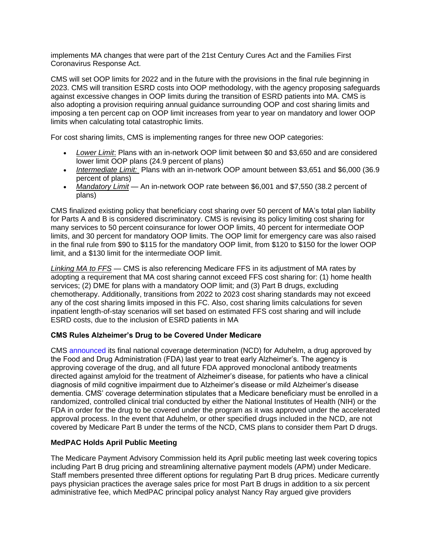implements MA changes that were part of the 21st Century Cures Act and the Families First Coronavirus Response Act.

CMS will set OOP limits for 2022 and in the future with the provisions in the final rule beginning in 2023. CMS will transition ESRD costs into OOP methodology, with the agency proposing safeguards against excessive changes in OOP limits during the transition of ESRD patients into MA. CMS is also adopting a provision requiring annual guidance surrounding OOP and cost sharing limits and imposing a ten percent cap on OOP limit increases from year to year on mandatory and lower OOP limits when calculating total catastrophic limits.

For cost sharing limits, CMS is implementing ranges for three new OOP categories:

- *Lower Limit*: Plans with an in-network OOP limit between \$0 and \$3,650 and are considered lower limit OOP plans (24.9 percent of plans)
- *Intermediate Limit:* Plans with an in-network OOP amount between \$3,651 and \$6,000 (36.9 percent of plans)
- *Mandatory Limit* An in-network OOP rate between \$6,001 and \$7,550 (38.2 percent of plans)

CMS finalized existing policy that beneficiary cost sharing over 50 percent of MA's total plan liability for Parts A and B is considered discriminatory. CMS is revising its policy limiting cost sharing for many services to 50 percent coinsurance for lower OOP limits, 40 percent for intermediate OOP limits, and 30 percent for mandatory OOP limits. The OOP limit for emergency care was also raised in the final rule from \$90 to \$115 for the mandatory OOP limit, from \$120 to \$150 for the lower OOP limit, and a \$130 limit for the intermediate OOP limit.

*Linking MA to FFS* — CMS is also referencing Medicare FFS in its adjustment of MA rates by adopting a requirement that MA cost sharing cannot exceed FFS cost sharing for: (1) home health services; (2) DME for plans with a mandatory OOP limit; and (3) Part B drugs, excluding chemotherapy. Additionally, transitions from 2022 to 2023 cost sharing standards may not exceed any of the cost sharing limits imposed in this FC. Also, cost sharing limits calculations for seven inpatient length-of-stay scenarios will set based on estimated FFS cost sharing and will include ESRD costs, due to the inclusion of ESRD patients in MA

### **CMS Rules Alzheimer's Drug to be Covered Under Medicare**

CMS [announced](http://link.apg.org/c/7/eyJhaSI6Njk4MDUxNDQsImUiOiJncGhpbGxpcHNAYXBnLm9yZyIsInJpIjoiY29udGFjdC03YWMxOTAzZjFkYzVlYTExYTgxMjAwMGQzYTVhMTdlMy1hZmJkZWE1NjhjNWE0NzgwOTg5YWE4ZjVlNzBmMTA0YSIsInJxIjoiMDItYjIyMTA1LTNhN2M4MDEwNGJkODQ5NmZiZDZhYzY5YzBlYzkyZWQ2IiwicGgiOm51bGwsIm0iOmZhbHNlLCJ1aSI6IjQiLCJ1biI6IiIsInUiOiJodHRwczovL3d3dy5jbXMuZ292L25ld3Nyb29tL3ByZXNzLXJlbGVhc2VzL2Ntcy1maW5hbGl6ZXMtbWVkaWNhcmUtY292ZXJhZ2UtcG9saWN5LW1vbm9jbG9uYWwtYW50aWJvZGllcy1kaXJlY3RlZC1hZ2FpbnN0LWFteWxvaWQtdHJlYXRtZW50P19jbGRlZT1qSzk1YnZjRDNOeTRmVDQ0OTJGaFY4dWVETWtXcERMSTBJekFhdWhtLUE1clljYzhnaWZmY2doVWJFODZubGh1JnJlY2lwaWVudGlkPWNvbnRhY3QtN2FjMTkwM2YxZGM1ZWExMWE4MTIwMDBkM2E1YTE3ZTMtYWZiZGVhNTY4YzVhNDc4MDk4OWFhOGY1ZTcwZjEwNGEmZXNpZD03MjM1MzQ2MS0yM2JjLWVjMTEtOTgzZi02MDQ1YmQwMGJiZDAifQ/72PL2HQ9gaA8sZn9T3IBpA) its final national coverage determination (NCD) for Aduhelm, a drug approved by the Food and Drug Administration (FDA) last year to treat early Alzheimer's. The agency is approving coverage of the drug, and all future FDA approved monoclonal antibody treatments directed against amyloid for the treatment of Alzheimer's disease, for patients who have a clinical diagnosis of mild cognitive impairment due to Alzheimer's disease or mild Alzheimer's disease dementia. CMS' coverage determination stipulates that a Medicare beneficiary must be enrolled in a randomized, controlled clinical trial conducted by either the National Institutes of Health (NIH) or the FDA in order for the drug to be covered under the program as it was approved under the accelerated approval process. In the event that Aduhelm, or other specified drugs included in the NCD, are not covered by Medicare Part B under the terms of the NCD, CMS plans to consider them Part D drugs.

## **MedPAC Holds April Public Meeting**

The Medicare Payment Advisory Commission held its April public meeting last week covering topics including Part B drug pricing and streamlining alternative payment models (APM) under Medicare. Staff members presented three different options for regulating Part B drug prices. Medicare currently pays physician practices the average sales price for most Part B drugs in addition to a six percent administrative fee, which MedPAC principal policy analyst Nancy Ray argued give providers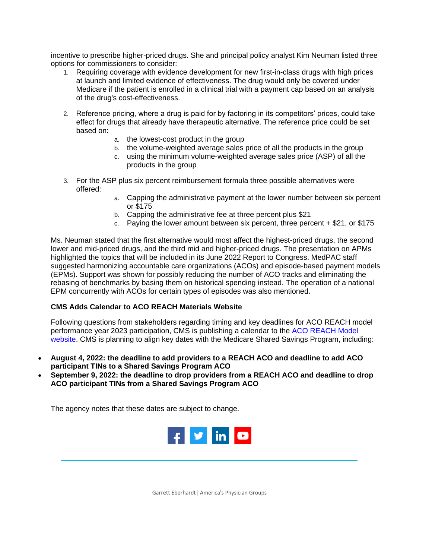incentive to prescribe higher-priced drugs. She and principal policy analyst Kim Neuman listed three options for commissioners to consider:

- 1. Requiring coverage with evidence development for new first-in-class drugs with high prices at launch and limited evidence of effectiveness. The drug would only be covered under Medicare if the patient is enrolled in a clinical trial with a payment cap based on an analysis of the drug's cost-effectiveness.
- 2. Reference pricing, where a drug is paid for by factoring in its competitors' prices, could take effect for drugs that already have therapeutic alternative. The reference price could be set based on:
	- a. the lowest-cost product in the group
	- b. the volume-weighted average sales price of all the products in the group
	- c. using the minimum volume-weighted average sales price (ASP) of all the products in the group
- 3. For the ASP plus six percent reimbursement formula three possible alternatives were offered:
	- a. Capping the administrative payment at the lower number between six percent or \$175
	- b. Capping the administrative fee at three percent plus \$21
	- c. Paying the lower amount between six percent, three percent  $+$  \$21, or \$175

Ms. Neuman stated that the first alternative would most affect the highest-priced drugs, the second lower and mid-priced drugs, and the third mid and higher-priced drugs. The presentation on APMs highlighted the topics that will be included in its June 2022 Report to Congress. MedPAC staff suggested harmonizing accountable care organizations (ACOs) and episode-based payment models (EPMs). Support was shown for possibly reducing the number of ACO tracks and eliminating the rebasing of benchmarks by basing them on historical spending instead. The operation of a national EPM concurrently with ACOs for certain types of episodes was also mentioned.

### **CMS Adds Calendar to ACO REACH Materials Website**

Following questions from stakeholders regarding timing and key deadlines for ACO REACH model performance year 2023 participation, CMS is publishing a calendar to the [ACO REACH Model](http://link.apg.org/c/7/eyJhaSI6Njk4MDUxNDQsImUiOiJncGhpbGxpcHNAYXBnLm9yZyIsInJpIjoiY29udGFjdC03YWMxOTAzZjFkYzVlYTExYTgxMjAwMGQzYTVhMTdlMy1hZmJkZWE1NjhjNWE0NzgwOTg5YWE4ZjVlNzBmMTA0YSIsInJxIjoiMDItYjIyMTA1LTNhN2M4MDEwNGJkODQ5NmZiZDZhYzY5YzBlYzkyZWQ2IiwicGgiOm51bGwsIm0iOmZhbHNlLCJ1aSI6IjUiLCJ1biI6IiIsInUiOiJodHRwczovL2xua3MuZ2QvbC9leUpoYkdjaU9pSklVekkxTmlKOS5leUppZFd4c1pYUnBibDlzYVc1clgybGtJam94TURBc0luVnlhU0k2SW1Kd01qcGpiR2xqYXlJc0ltSjFiR3hsZEdsdVgybGtJam9pTWpBeU1qQTBNRGd1TlRZeE16ZzVNREVpTENKMWNtd2lPaUpvZEhSd2N6b3ZMMmx1Ym05MllYUnBiMjR1WTIxekxtZHZkaTlwYm01dmRtRjBhVzl1TFcxdlpHVnNjeTloWTI4dGNtVmhZMmdpZlEuZ1NPUzcwWTM1dTVVamx5YmdSV2FFczVDY3M4V3pRRlQyZ1FFWlQyMDJJMC9zLzEyMDI0Mzc0NTgvYnIvMTI5NTYyMTk1MzIyLWw_X2NsZGVlPWpLOTVidmNEM055NGZUNDQ5MkZoVjh1ZURNa1dwRExJMEl6QWF1aG0tQTVyWWNjOGdpZmZjZ2hVYkU4Nm5saHUmcmVjaXBpZW50aWQ9Y29udGFjdC03YWMxOTAzZjFkYzVlYTExYTgxMjAwMGQzYTVhMTdlMy1hZmJkZWE1NjhjNWE0NzgwOTg5YWE4ZjVlNzBmMTA0YSZlc2lkPTcyMzUzNDYxLTIzYmMtZWMxMS05ODNmLTYwNDViZDAwYmJkMCJ9/d4qf5HKDBp3OYxhpcTWSig)  [website.](http://link.apg.org/c/7/eyJhaSI6Njk4MDUxNDQsImUiOiJncGhpbGxpcHNAYXBnLm9yZyIsInJpIjoiY29udGFjdC03YWMxOTAzZjFkYzVlYTExYTgxMjAwMGQzYTVhMTdlMy1hZmJkZWE1NjhjNWE0NzgwOTg5YWE4ZjVlNzBmMTA0YSIsInJxIjoiMDItYjIyMTA1LTNhN2M4MDEwNGJkODQ5NmZiZDZhYzY5YzBlYzkyZWQ2IiwicGgiOm51bGwsIm0iOmZhbHNlLCJ1aSI6IjUiLCJ1biI6IiIsInUiOiJodHRwczovL2xua3MuZ2QvbC9leUpoYkdjaU9pSklVekkxTmlKOS5leUppZFd4c1pYUnBibDlzYVc1clgybGtJam94TURBc0luVnlhU0k2SW1Kd01qcGpiR2xqYXlJc0ltSjFiR3hsZEdsdVgybGtJam9pTWpBeU1qQTBNRGd1TlRZeE16ZzVNREVpTENKMWNtd2lPaUpvZEhSd2N6b3ZMMmx1Ym05MllYUnBiMjR1WTIxekxtZHZkaTlwYm01dmRtRjBhVzl1TFcxdlpHVnNjeTloWTI4dGNtVmhZMmdpZlEuZ1NPUzcwWTM1dTVVamx5YmdSV2FFczVDY3M4V3pRRlQyZ1FFWlQyMDJJMC9zLzEyMDI0Mzc0NTgvYnIvMTI5NTYyMTk1MzIyLWw_X2NsZGVlPWpLOTVidmNEM055NGZUNDQ5MkZoVjh1ZURNa1dwRExJMEl6QWF1aG0tQTVyWWNjOGdpZmZjZ2hVYkU4Nm5saHUmcmVjaXBpZW50aWQ9Y29udGFjdC03YWMxOTAzZjFkYzVlYTExYTgxMjAwMGQzYTVhMTdlMy1hZmJkZWE1NjhjNWE0NzgwOTg5YWE4ZjVlNzBmMTA0YSZlc2lkPTcyMzUzNDYxLTIzYmMtZWMxMS05ODNmLTYwNDViZDAwYmJkMCJ9/d4qf5HKDBp3OYxhpcTWSig) CMS is planning to align key dates with the Medicare Shared Savings Program, including:

- **August 4, 2022: the deadline to add providers to a REACH ACO and deadline to add ACO participant TINs to a Shared Savings Program ACO**
- **September 9, 2022: the deadline to drop providers from a REACH ACO and deadline to drop ACO participant TINs from a Shared Savings Program ACO**

The agency notes that these dates are subject to change.



Garrett Eberhardt| America's Physician Groups